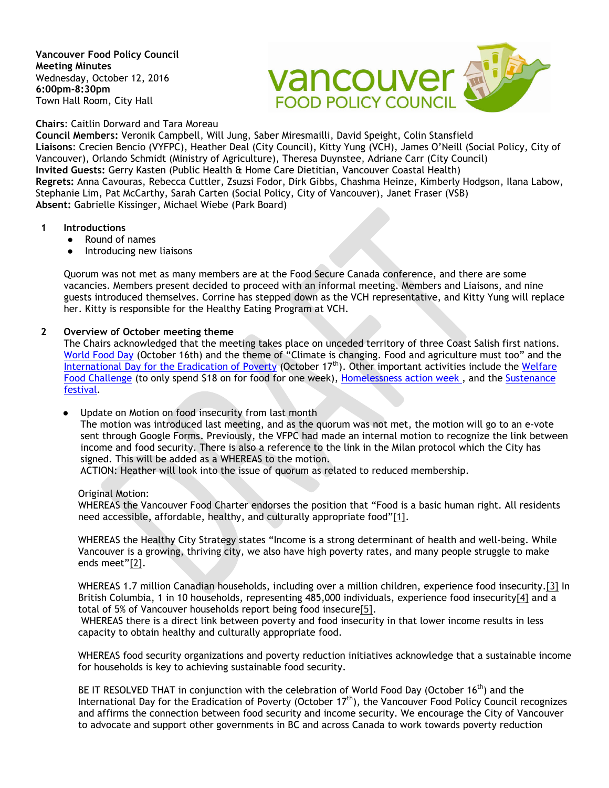**Vancouver Food Policy Council Meeting Minutes** Wednesday, October 12, 2016 **6:00pm-8:30pm** Town Hall Room, City Hall



**Chairs**: Caitlin Dorward and Tara Moreau

**Council Members:** Veronik Campbell, Will Jung, Saber Miresmailli, David Speight, Colin Stansfield **Liaisons**: Crecien Bencio (VYFPC), Heather Deal (City Council), Kitty Yung (VCH), James O'Neill (Social Policy, City of Vancouver), Orlando Schmidt (Ministry of Agriculture), Theresa Duynstee, Adriane Carr (City Council) **Invited Guests:** Gerry Kasten (Public Health & Home Care Dietitian, Vancouver Coastal Health) **Regrets:** Anna Cavouras, Rebecca Cuttler, Zsuzsi Fodor, Dirk Gibbs, Chashma Heinze, Kimberly Hodgson, Ilana Labow, Stephanie Lim, Pat McCarthy, Sarah Carten (Social Policy, City of Vancouver), Janet Fraser (VSB) **Absent:** Gabrielle Kissinger, Michael Wiebe (Park Board)

- **1 Introductions** 
	- Round of names
	- Introducing new liaisons

Quorum was not met as many members are at the Food Secure Canada conference, and there are some vacancies. Members present decided to proceed with an informal meeting. Members and Liaisons, and nine guests introduced themselves. Corrine has stepped down as the VCH representative, and Kitty Yung will replace her. Kitty is responsible for the Healthy Eating Program at VCH.

#### **2 Overview of October meeting theme**

The Chairs acknowledged that the meeting takes place on unceded territory of three Coast Salish first nations. [World Food Day](http://www.fao.org/world-food-day/en/) (October 16th) and the theme of "Climate is changing. Food and agriculture must too" and the [International Day for the Eradication of Poverty](http://www.un.org/en/events/povertyday/) (October 17<sup>th</sup>). Other important activities include the Welfare [Food Challenge](https://welfarefoodchallenge.org/) (to only spend \$18 on for food for one week), [Homelessness action week ,](http://vancouver.ca/people-programs/homelessness-action-week.aspx) and the [Sustenance](http://sustenancefestival.ca/)  [festival.](http://sustenancefestival.ca/)

Update on Motion on food insecurity from last month

The motion was introduced last meeting, and as the quorum was not met, the motion will go to an e-vote sent through Google Forms. Previously, the VFPC had made an internal motion to recognize the link between income and food security. There is also a reference to the link in the Milan protocol which the City has signed. This will be added as a WHEREAS to the motion.

ACTION: Heather will look into the issue of quorum as related to reduced membership.

Original Motion:

WHEREAS the Vancouver Food Charter endorses the position that "Food is a basic human right. All residents need accessible, affordable, healthy, and culturally appropriate food["\[1\].](https://wm-s.glb.shawcable.net/zimbra/mail%23m_-8070438285450686271_m_-8091425522353786442__ftn1)

WHEREAS the Healthy City Strategy states "Income is a strong determinant of health and well-being. While Vancouver is a growing, thriving city, we also have high poverty rates, and many people struggle to make ends meet["\[2\].](https://wm-s.glb.shawcable.net/zimbra/mail%23m_-8070438285450686271_m_-8091425522353786442__ftn2)

WHEREAS 1.7 million Canadian households, including over a million children, experience food insecurity[.\[3\]](https://wm-s.glb.shawcable.net/zimbra/mail%23m_-8070438285450686271_m_-8091425522353786442__ftn3) In British Columbia, 1 in 10 households, representing 485,000 individuals, experience food insecurit[y\[4\]](https://wm-s.glb.shawcable.net/zimbra/mail%23m_-8070438285450686271_m_-8091425522353786442__ftn4) and a total of 5% of Vancouver households report being food insecur[e\[5\].](https://wm-s.glb.shawcable.net/zimbra/mail%23m_-8070438285450686271_m_-8091425522353786442__ftn5)

WHEREAS there is a direct link between poverty and food insecurity in that lower income results in less capacity to obtain healthy and culturally appropriate food.

WHEREAS food security organizations and poverty reduction initiatives acknowledge that a sustainable income for households is key to achieving sustainable food security.

BE IT RESOLVED THAT in conjunction with the celebration of World Food Day (October 16<sup>th</sup>) and the International Day for the Eradication of Poverty (October 17<sup>th</sup>), the Vancouver Food Policy Council recognizes and affirms the connection between food security and income security. We encourage the City of Vancouver to advocate and support other governments in BC and across Canada to work towards poverty reduction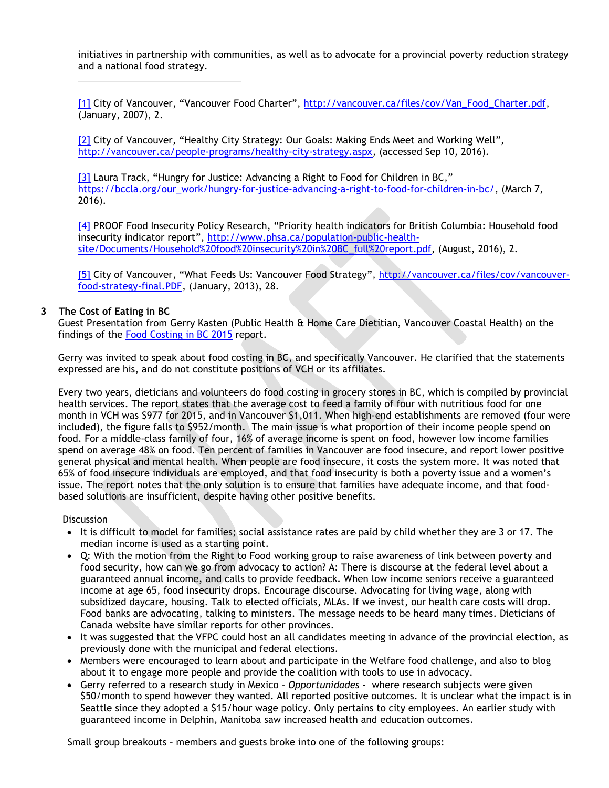initiatives in partnership with communities, as well as to advocate for a provincial poverty reduction strategy and a national food strategy.

[\[1\]](https://wm-s.glb.shawcable.net/zimbra/mail%23m_-8070438285450686271_m_-8091425522353786442__ftnref1) City of Vancouver, "Vancouver Food Charter", [http://vancouver.ca/files/cov/Van\\_Food\\_Charter.pdf,](http://vancouver.ca/files/cov/Van_Food_Charter.pdf) (January, 2007), 2.

[\[2\]](https://wm-s.glb.shawcable.net/zimbra/mail%23m_-8070438285450686271_m_-8091425522353786442__ftnref2) City of Vancouver, "Healthy City Strategy: Our Goals: Making Ends Meet and Working Well", [http://vancouver.ca/people-programs/healthy-city-strategy.aspx,](http://vancouver.ca/people-programs/healthy-city-strategy.aspx) (accessed Sep 10, 2016).

[\[3\]](https://wm-s.glb.shawcable.net/zimbra/mail%23m_-8070438285450686271_m_-8091425522353786442__ftnref3) Laura Track, "Hungry for Justice: Advancing a Right to Food for Children in BC," [https://bccla.org/our\\_work/hungry-for-justice-advancing-a-right-to-food-for-children-in-bc/,](https://bccla.org/our_work/hungry-for-justice-advancing-a-right-to-food-for-children-in-bc/) (March 7, 2016).

[\[4\]](https://wm-s.glb.shawcable.net/zimbra/mail%23m_-8070438285450686271_m_-8091425522353786442__ftnref4) PROOF Food Insecurity Policy Research, "Priority health indicators for British Columbia: Household food insecurity indicator report", [http://www.phsa.ca/population-public-health](http://www.phsa.ca/population-public-health-site/Documents/Household%20food%20insecurity%20in%20BC_full%20report.pdf)[site/Documents/Household%20food%20insecurity%20in%20BC\\_full%20report.pdf,](http://www.phsa.ca/population-public-health-site/Documents/Household%20food%20insecurity%20in%20BC_full%20report.pdf) (August, 2016), 2.

[\[5\]](https://wm-s.glb.shawcable.net/zimbra/mail%23m_-8070438285450686271_m_-8091425522353786442__ftnref5) City of Vancouver, "What Feeds Us: Vancouver Food Strategy", [http://vancouver.ca/files/cov/vancouver](http://vancouver.ca/files/cov/vancouver-food-strategy-final.PDF)[food-strategy-final.PDF,](http://vancouver.ca/files/cov/vancouver-food-strategy-final.PDF) (January, 2013), 28.

### **3 The Cost of Eating in BC**

Guest Presentation from Gerry Kasten (Public Health & Home Care Dietitian, Vancouver Coastal Health) on the findings of the [Food Costing in BC 2015](http://www.phsa.ca/population-public-health-site/Documents/2015%20Food%20Costing%20in%20BC%20-%20FINAL.pdf) report.

Gerry was invited to speak about food costing in BC, and specifically Vancouver. He clarified that the statements expressed are his, and do not constitute positions of VCH or its affiliates.

Every two years, dieticians and volunteers do food costing in grocery stores in BC, which is compiled by provincial health services. The report states that the average cost to feed a family of four with nutritious food for one month in VCH was \$977 for 2015, and in Vancouver \$1,011. When high-end establishments are removed (four were included), the figure falls to \$952/month. The main issue is what proportion of their income people spend on food. For a middle-class family of four, 16% of average income is spent on food, however low income families spend on average 48% on food. Ten percent of families in Vancouver are food insecure, and report lower positive general physical and mental health. When people are food insecure, it costs the system more. It was noted that 65% of food insecure individuals are employed, and that food insecurity is both a poverty issue and a women's issue. The report notes that the only solution is to ensure that families have adequate income, and that foodbased solutions are insufficient, despite having other positive benefits.

#### **Discussion**

- It is difficult to model for families; social assistance rates are paid by child whether they are 3 or 17. The median income is used as a starting point.
- Q: With the motion from the Right to Food working group to raise awareness of link between poverty and food security, how can we go from advocacy to action? A: There is discourse at the federal level about a guaranteed annual income, and calls to provide feedback. When low income seniors receive a guaranteed income at age 65, food insecurity drops. Encourage discourse. Advocating for living wage, along with subsidized daycare, housing. Talk to elected officials, MLAs. If we invest, our health care costs will drop. Food banks are advocating, talking to ministers. The message needs to be heard many times. Dieticians of Canada website have similar reports for other provinces.
- It was suggested that the VFPC could host an all candidates meeting in advance of the provincial election, as previously done with the municipal and federal elections.
- Members were encouraged to learn about and participate in the Welfare food challenge, and also to blog about it to engage more people and provide the coalition with tools to use in advocacy.
- Gerry referred to a research study in Mexico *Opportunidades* where research subjects were given \$50/month to spend however they wanted. All reported positive outcomes. It is unclear what the impact is in Seattle since they adopted a \$15/hour wage policy. Only pertains to city employees. An earlier study with guaranteed income in Delphin, Manitoba saw increased health and education outcomes.

Small group breakouts – members and guests broke into one of the following groups: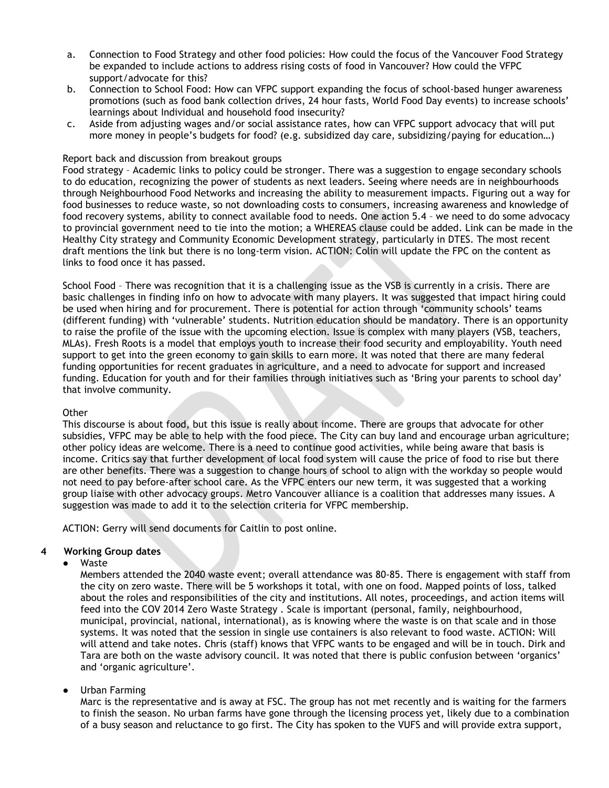- a. Connection to Food Strategy and other food policies: How could the focus of the Vancouver Food Strategy be expanded to include actions to address rising costs of food in Vancouver? How could the VFPC support/advocate for this?
- b. Connection to School Food: How can VFPC support expanding the focus of school-based hunger awareness promotions (such as food bank collection drives, 24 hour fasts, World Food Day events) to increase schools' learnings about Individual and household food insecurity?
- c. Aside from adjusting wages and/or social assistance rates, how can VFPC support advocacy that will put more money in people's budgets for food? (e.g. subsidized day care, subsidizing/paying for education…)

#### Report back and discussion from breakout groups

Food strategy – Academic links to policy could be stronger. There was a suggestion to engage secondary schools to do education, recognizing the power of students as next leaders. Seeing where needs are in neighbourhoods through Neighbourhood Food Networks and increasing the ability to measurement impacts. Figuring out a way for food businesses to reduce waste, so not downloading costs to consumers, increasing awareness and knowledge of food recovery systems, ability to connect available food to needs. One action 5.4 – we need to do some advocacy to provincial government need to tie into the motion; a WHEREAS clause could be added. Link can be made in the Healthy City strategy and Community Economic Development strategy, particularly in DTES. The most recent draft mentions the link but there is no long-term vision. ACTION: Colin will update the FPC on the content as links to food once it has passed.

School Food – There was recognition that it is a challenging issue as the VSB is currently in a crisis. There are basic challenges in finding info on how to advocate with many players. It was suggested that impact hiring could be used when hiring and for procurement. There is potential for action through 'community schools' teams (different funding) with 'vulnerable' students. Nutrition education should be mandatory. There is an opportunity to raise the profile of the issue with the upcoming election. Issue is complex with many players (VSB, teachers, MLAs). Fresh Roots is a model that employs youth to increase their food security and employability. Youth need support to get into the green economy to gain skills to earn more. It was noted that there are many federal funding opportunities for recent graduates in agriculture, and a need to advocate for support and increased funding. Education for youth and for their families through initiatives such as 'Bring your parents to school day' that involve community.

# **Other**

This discourse is about food, but this issue is really about income. There are groups that advocate for other subsidies, VFPC may be able to help with the food piece. The City can buy land and encourage urban agriculture; other policy ideas are welcome. There is a need to continue good activities, while being aware that basis is income. Critics say that further development of local food system will cause the price of food to rise but there are other benefits. There was a suggestion to change hours of school to align with the workday so people would not need to pay before-after school care. As the VFPC enters our new term, it was suggested that a working group liaise with other advocacy groups. Metro Vancouver alliance is a coalition that addresses many issues. A suggestion was made to add it to the selection criteria for VFPC membership.

ACTION: Gerry will send documents for Caitlin to post online.

#### **4 Working Group dates**

### ● Waste

Members attended the 2040 waste event; overall attendance was 80-85. There is engagement with staff from the city on zero waste. There will be 5 workshops it total, with one on food. Mapped points of loss, talked about the roles and responsibilities of the city and institutions. All notes, proceedings, and action items will feed into the COV 2014 Zero Waste Strategy . Scale is important (personal, family, neighbourhood, municipal, provincial, national, international), as is knowing where the waste is on that scale and in those systems. It was noted that the session in single use containers is also relevant to food waste. ACTION: Will will attend and take notes. Chris (staff) knows that VFPC wants to be engaged and will be in touch. Dirk and Tara are both on the waste advisory council. It was noted that there is public confusion between 'organics' and 'organic agriculture'.

# Urban Farming

Marc is the representative and is away at FSC. The group has not met recently and is waiting for the farmers to finish the season. No urban farms have gone through the licensing process yet, likely due to a combination of a busy season and reluctance to go first. The City has spoken to the VUFS and will provide extra support,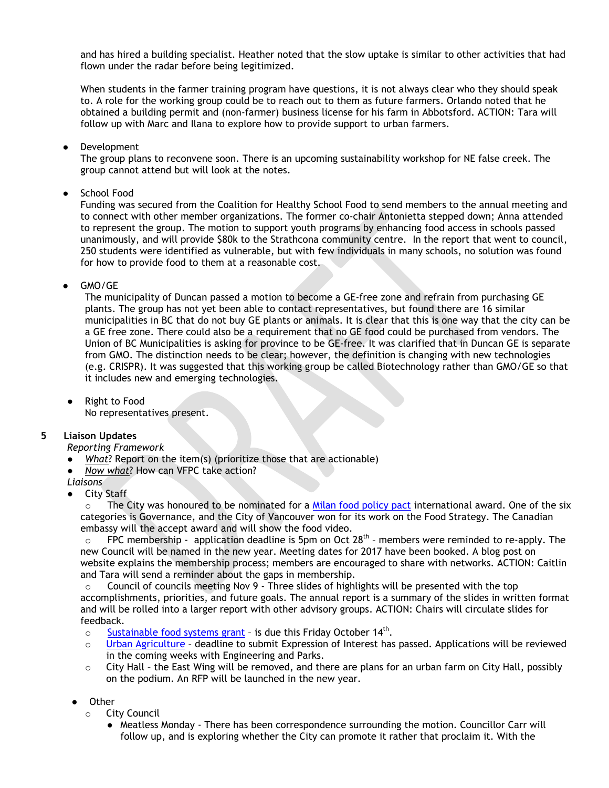and has hired a building specialist. Heather noted that the slow uptake is similar to other activities that had flown under the radar before being legitimized.

When students in the farmer training program have questions, it is not always clear who they should speak to. A role for the working group could be to reach out to them as future farmers. Orlando noted that he obtained a building permit and (non-farmer) business license for his farm in Abbotsford. ACTION: Tara will follow up with Marc and Ilana to explore how to provide support to urban farmers.

**Development** 

The group plans to reconvene soon. There is an upcoming sustainability workshop for NE false creek. The group cannot attend but will look at the notes.

● School Food

Funding was secured from the Coalition for Healthy School Food to send members to the annual meeting and to connect with other member organizations. The former co-chair Antonietta stepped down; Anna attended to represent the group. The motion to support youth programs by enhancing food access in schools passed unanimously, and will provide \$80k to the Strathcona community centre. In the report that went to council, 250 students were identified as vulnerable, but with few individuals in many schools, no solution was found for how to provide food to them at a reasonable cost.

# GMO/GE

The municipality of Duncan passed a motion to become a GE-free zone and refrain from purchasing GE plants. The group has not yet been able to contact representatives, but found there are 16 similar municipalities in BC that do not buy GE plants or animals. It is clear that this is one way that the city can be a GE free zone. There could also be a requirement that no GE food could be purchased from vendors. The Union of BC Municipalities is asking for province to be GE-free. It was clarified that in Duncan GE is separate from GMO. The distinction needs to be clear; however, the definition is changing with new technologies (e.g. CRISPR). It was suggested that this working group be called Biotechnology rather than GMO/GE so that it includes new and emerging technologies.

● Right to Food No representatives present.

# **5 Liaison Updates**

#### *Reporting Framework*

- *What*? Report on the item(s) (prioritize those that are actionable)
- *Now what*? How can VFPC take action?

#### *Liaisons*

● City Staff

 $\circ$  The City was honoured to be nominated for a [Milan food policy pact](http://www.milanurbanfoodpolicypact.org/) international award. One of the six categories is Governance, and the City of Vancouver won for its work on the Food Strategy. The Canadian embassy will the accept award and will show the food video.

 $\circ$  FPC membership - application deadline is 5pm on Oct 28<sup>th</sup> - members were reminded to re-apply. The new Council will be named in the new year. Meeting dates for 2017 have been booked. A blog post on website explains the membership process; members are encouraged to share with networks. ACTION: Caitlin and Tara will send a reminder about the gaps in membership.

Council of councils meeting Nov 9 - Three slides of highlights will be presented with the top accomplishments, priorities, and future goals. The annual report is a summary of the slides in written format and will be rolled into a larger report with other advisory groups. ACTION: Chairs will circulate slides for feedback.

- $\circ$  [Sustainable food systems grant](http://vancouver.ca/people-programs/sustainable-food-systems-grants.aspx)  is due this Friday October 14<sup>th</sup>.<br>
Urban Agriculture deadline to submit Expression of Interest has
- [Urban Agriculture](http://vancouver.ca/people-programs/start-a-new-community-garden.aspx)  deadline to submit Expression of Interest has passed. Applications will be reviewed in the coming weeks with Engineering and Parks.
- $\circ$  City Hall the East Wing will be removed, and there are plans for an urban farm on City Hall, possibly on the podium. An RFP will be launched in the new year.
- **Other** 
	- o City Council
		- Meatless Monday There has been correspondence surrounding the motion. Councillor Carr will follow up, and is exploring whether the City can promote it rather that proclaim it. With the